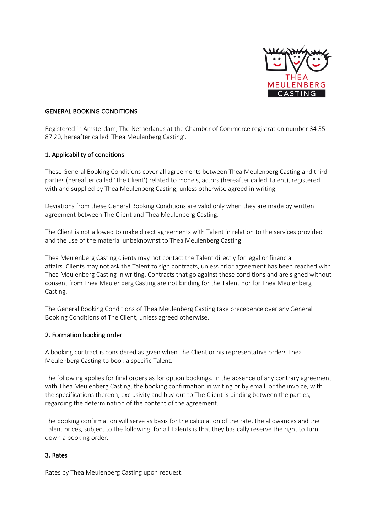

## GENERAL BOOKING CONDITIONS

Registered in Amsterdam, The Netherlands at the Chamber of Commerce registration number 34 35 87 20, hereafter called 'Thea Meulenberg Casting'.

### 1. Applicability of conditions

These General Booking Conditions cover all agreements between Thea Meulenberg Casting and third parties (hereafter called 'The Client') related to models, actors (hereafter called Talent), registered with and supplied by Thea Meulenberg Casting, unless otherwise agreed in writing.

Deviations from these General Booking Conditions are valid only when they are made by written agreement between The Client and Thea Meulenberg Casting.

The Client is not allowed to make direct agreements with Talent in relation to the services provided and the use of the material unbeknownst to Thea Meulenberg Casting.

Thea Meulenberg Casting clients may not contact the Talent directly for legal or financial affairs. Clients may not ask the Talent to sign contracts, unless prior agreement has been reached with Thea Meulenberg Casting in writing. Contracts that go against these conditions and are signed without consent from Thea Meulenberg Casting are not binding for the Talent nor for Thea Meulenberg Casting.

The General Booking Conditions of Thea Meulenberg Casting take precedence over any General Booking Conditions of The Client, unless agreed otherwise.

### 2. Formation booking order

A booking contract is considered as given when The Client or his representative orders Thea Meulenberg Casting to book a specific Talent.

The following applies for final orders as for option bookings. In the absence of any contrary agreement with Thea Meulenberg Casting, the booking confirmation in writing or by email, or the invoice, with the specifications thereon, exclusivity and buy-out to The Client is binding between the parties, regarding the determination of the content of the agreement.

The booking confirmation will serve as basis for the calculation of the rate, the allowances and the Talent prices, subject to the following: for all Talents is that they basically reserve the right to turn down a booking order.

### 3. Rates

Rates by Thea Meulenberg Casting upon request.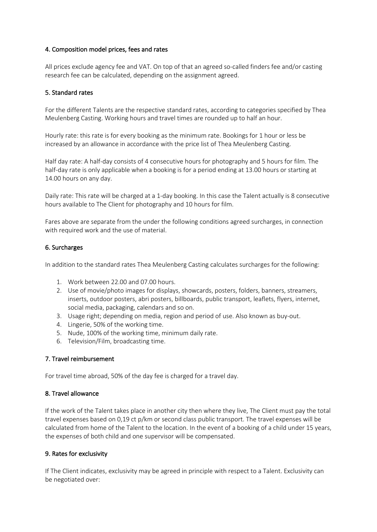# 4. Composition model prices, fees and rates

All prices exclude agency fee and VAT. On top of that an agreed so-called finders fee and/or casting research fee can be calculated, depending on the assignment agreed.

### 5. Standard rates

For the different Talents are the respective standard rates, according to categories specified by Thea Meulenberg Casting. Working hours and travel times are rounded up to half an hour.

Hourly rate: this rate is for every booking as the minimum rate. Bookings for 1 hour or less be increased by an allowance in accordance with the price list of Thea Meulenberg Casting.

Half day rate: A half-day consists of 4 consecutive hours for photography and 5 hours for film. The half-day rate is only applicable when a booking is for a period ending at 13.00 hours or starting at 14.00 hours on any day.

Daily rate: This rate will be charged at a 1-day booking. In this case the Talent actually is 8 consecutive hours available to The Client for photography and 10 hours for film.

Fares above are separate from the under the following conditions agreed surcharges, in connection with required work and the use of material.

### 6. Surcharges

In addition to the standard rates Thea Meulenberg Casting calculates surcharges for the following:

- 1. Work between 22.00 and 07.00 hours.
- 2. Use of movie/photo images for displays, showcards, posters, folders, banners, streamers, inserts, outdoor posters, abri posters, billboards, public transport, leaflets, flyers, internet, social media, packaging, calendars and so on.
- 3. Usage right; depending on media, region and period of use. Also known as buy-out.
- 4. Lingerie, 50% of the working time.
- 5. Nude, 100% of the working time, minimum daily rate.
- 6. Television/Film, broadcasting time.

# 7. Travel reimbursement

For travel time abroad, 50% of the day fee is charged for a travel day.

### 8. Travel allowance

If the work of the Talent takes place in another city then where they live, The Client must pay the total travel expenses based on 0,19 ct p/km or second class public transport. The travel expenses will be calculated from home of the Talent to the location. In the event of a booking of a child under 15 years, the expenses of both child and one supervisor will be compensated.

### 9. Rates for exclusivity

If The Client indicates, exclusivity may be agreed in principle with respect to a Talent. Exclusivity can be negotiated over: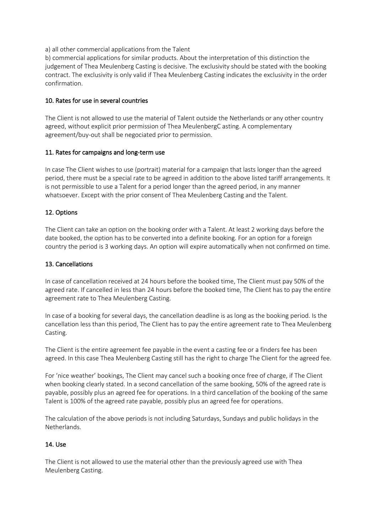a) all other commercial applications from the Talent

b) commercial applications for similar products. About the interpretation of this distinction the judgement of Thea Meulenberg Casting is decisive. The exclusivity should be stated with the booking contract. The exclusivity is only valid if Thea Meulenberg Casting indicates the exclusivity in the order confirmation.

## 10. Rates for use in several countries

The Client is not allowed to use the material of Talent outside the Netherlands or any other country agreed, without explicit prior permission of Thea MeulenbergC asting. A complementary agreement/buy-out shall be negociated prior to permission.

### 11. Rates for campaigns and long-term use

In case The Client wishes to use (portrait) material for a campaign that lasts longer than the agreed period, there must be a special rate to be agreed in addition to the above listed tariff arrangements. It is not permissible to use a Talent for a period longer than the agreed period, in any manner whatsoever. Except with the prior consent of Thea Meulenberg Casting and the Talent.

# 12. Options

The Client can take an option on the booking order with a Talent. At least 2 working days before the date booked, the option has to be converted into a definite booking. For an option for a foreign country the period is 3 working days. An option will expire automatically when not confirmed on time.

# 13. Cancellations

In case of cancellation received at 24 hours before the booked time, The Client must pay 50% of the agreed rate. If cancelled in less than 24 hours before the booked time, The Client has to pay the entire agreement rate to Thea Meulenberg Casting.

In case of a booking for several days, the cancellation deadline is as long as the booking period. Is the cancellation less than this period, The Client has to pay the entire agreement rate to Thea Meulenberg Casting.

The Client is the entire agreement fee payable in the event a casting fee or a finders fee has been agreed. In this case Thea Meulenberg Casting still has the right to charge The Client for the agreed fee.

For 'nice weather' bookings, The Client may cancel such a booking once free of charge, if The Client when booking clearly stated. In a second cancellation of the same booking, 50% of the agreed rate is payable, possibly plus an agreed fee for operations. In a third cancellation of the booking of the same Talent is 100% of the agreed rate payable, possibly plus an agreed fee for operations.

The calculation of the above periods is not including Saturdays, Sundays and public holidays in the Netherlands.

# 14. Use

The Client is not allowed to use the material other than the previously agreed use with Thea Meulenberg Casting.